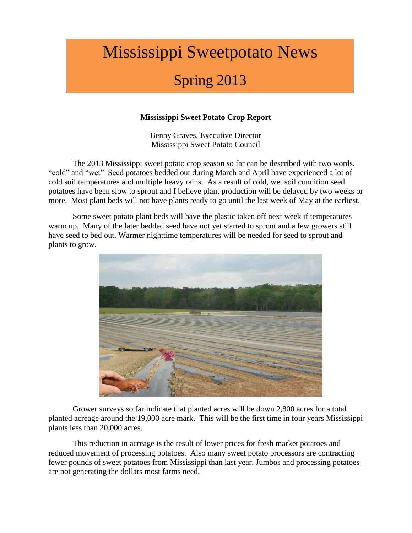# Mississippi Sweetpotato News

## Spring 2013

## **Mississippi Sweet Potato Crop Report**

Benny Graves, Executive Director Mississippi Sweet Potato Council

The 2013 Mississippi sweet potato crop season so far can be described with two words. "cold" and "wet" Seed potatoes bedded out during March and April have experienced a lot of cold soil temperatures and multiple heavy rains. As a result of cold, wet soil condition seed potatoes have been slow to sprout and I believe plant production will be delayed by two weeks or more. Most plant beds will not have plants ready to go until the last week of May at the earliest.

Some sweet potato plant beds will have the plastic taken off next week if temperatures warm up. Many of the later bedded seed have not yet started to sprout and a few growers still have seed to bed out. Warmer nighttime temperatures will be needed for seed to sprout and plants to grow.



Grower surveys so far indicate that planted acres will be down 2,800 acres for a total planted acreage around the 19,000 acre mark. This will be the first time in four years Mississippi plants less than 20,000 acres.

This reduction in acreage is the result of lower prices for fresh market potatoes and reduced movement of processing potatoes. Also many sweet potato processors are contracting fewer pounds of sweet potatoes from Mississippi than last year. Jumbos and processing potatoes are not generating the dollars most farms need.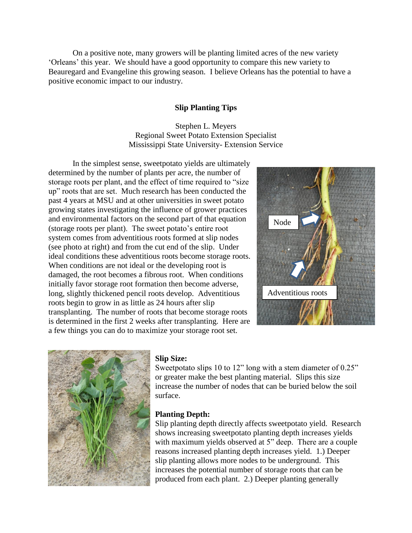On a positive note, many growers will be planting limited acres of the new variety 'Orleans' this year. We should have a good opportunity to compare this new variety to Beauregard and Evangeline this growing season. I believe Orleans has the potential to have a positive economic impact to our industry.

#### **Slip Planting Tips**

Stephen L. Meyers Regional Sweet Potato Extension Specialist Mississippi State University- Extension Service

In the simplest sense, sweetpotato yields are ultimately determined by the number of plants per acre, the number of storage roots per plant, and the effect of time required to "size up" roots that are set. Much research has been conducted the past 4 years at MSU and at other universities in sweet potato growing states investigating the influence of grower practices and environmental factors on the second part of that equation (storage roots per plant). The sweet potato's entire root system comes from adventitious roots formed at slip nodes (see photo at right) and from the cut end of the slip. Under ideal conditions these adventitious roots become storage roots. When conditions are not ideal or the developing root is damaged, the root becomes a fibrous root. When conditions initially favor storage root formation then become adverse, long, slightly thickened pencil roots develop. Adventitious roots begin to grow in as little as 24 hours after slip transplanting. The number of roots that become storage roots is determined in the first 2 weeks after transplanting. Here are a few things you can do to maximize your storage root set.





#### **Slip Size:**

Sweetpotato slips 10 to 12" long with a stem diameter of 0.25" or greater make the best planting material. Slips this size increase the number of nodes that can be buried below the soil surface.

#### **Planting Depth:**

Slip planting depth directly affects sweetpotato yield. Research shows increasing sweetpotato planting depth increases yields with maximum yields observed at 5" deep. There are a couple reasons increased planting depth increases yield. 1.) Deeper slip planting allows more nodes to be underground. This increases the potential number of storage roots that can be produced from each plant. 2.) Deeper planting generally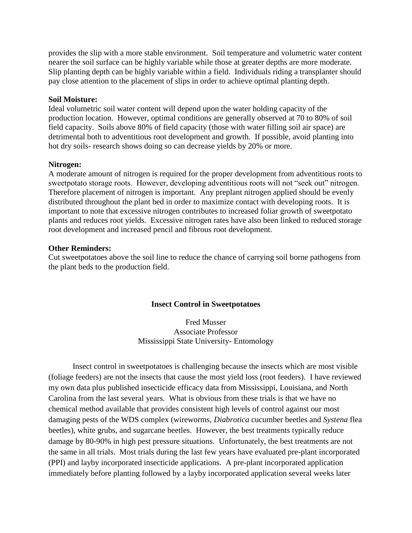provides the slip with a more stable environment. Soil temperature and volumetric water content nearer the soil surface can be highly variable while those at greater depths are more moderate. Slip planting depth can be highly variable within a field. Individuals riding a transplanter should pay close attention to the placement of slips in order to achieve optimal planting depth.

#### **Soil Moisture:**

Ideal volumetric soil water content will depend upon the water holding capacity of the production location. However, optimal conditions are generally observed at 70 to 80% of soil field capacity. Soils above 80% of field capacity (those with water filling soil air space) are detrimental both to adventitious root development and growth. If possible, avoid planting into hot dry soils- research shows doing so can decrease yields by 20% or more.

#### **Nitrogen:**

A moderate amount of nitrogen is required for the proper development from adventitious roots to sweetpotato storage roots. However, developing adventitious roots will not "seek out" nitrogen. Therefore placement of nitrogen is important. Any preplant nitrogen applied should be evenly distributed throughout the plant bed in order to maximize contact with developing roots. It is important to note that excessive nitrogen contributes to increased foliar growth of sweetpotato plants and reduces root yields. Excessive nitrogen rates have also been linked to reduced storage root development and increased pencil and fibrous root development.

#### **Other Reminders:**

Cut sweetpotatoes above the soil line to reduce the chance of carrying soil borne pathogens from the plant beds to the production field.

#### **Insect Control in Sweetpotatoes**

Fred Musser Associate Professor Mississippi State University- Entomology

Insect control in sweetpotatoes is challenging because the insects which are most visible (foliage feeders) are not the insects that cause the most yield loss (root feeders). I have reviewed my own data plus published insecticide efficacy data from Mississippi, Louisiana, and North Carolina from the last several years. What is obvious from these trials is that we have no chemical method available that provides consistent high levels of control against our most damaging pests of the WDS complex (wireworms, *Diabrotica* cucumber beetles and *Systena* flea beetles), white grubs, and sugarcane beetles. However, the best treatments typically reduce damage by 80-90% in high pest pressure situations. Unfortunately, the best treatments are not the same in all trials. Most trials during the last few years have evaluated pre-plant incorporated (PPI) and layby incorporated insecticide applications. A pre-plant incorporated application immediately before planting followed by a layby incorporated application several weeks later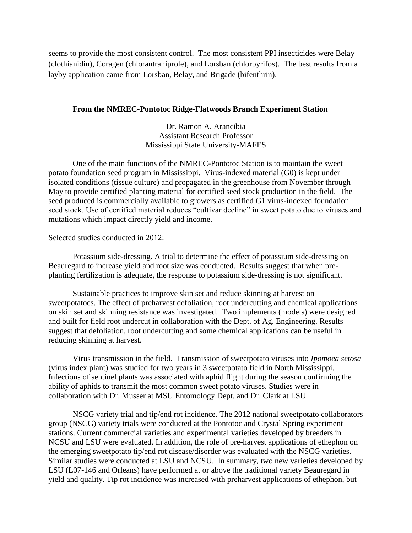seems to provide the most consistent control. The most consistent PPI insecticides were Belay (clothianidin), Coragen (chlorantraniprole), and Lorsban (chlorpyrifos). The best results from a layby application came from Lorsban, Belay, and Brigade (bifenthrin).

#### **From the NMREC-Pontotoc Ridge-Flatwoods Branch Experiment Station**

Dr. Ramon A. Arancibia Assistant Research Professor Mississippi State University-MAFES

One of the main functions of the NMREC-Pontotoc Station is to maintain the sweet potato foundation seed program in Mississippi. Virus-indexed material (G0) is kept under isolated conditions (tissue culture) and propagated in the greenhouse from November through May to provide certified planting material for certified seed stock production in the field. The seed produced is commercially available to growers as certified G1 virus-indexed foundation seed stock. Use of certified material reduces "cultivar decline" in sweet potato due to viruses and mutations which impact directly yield and income.

Selected studies conducted in 2012:

Potassium side-dressing. A trial to determine the effect of potassium side-dressing on Beauregard to increase yield and root size was conducted. Results suggest that when preplanting fertilization is adequate, the response to potassium side-dressing is not significant.

Sustainable practices to improve skin set and reduce skinning at harvest on sweetpotatoes. The effect of preharvest defoliation, root undercutting and chemical applications on skin set and skinning resistance was investigated. Two implements (models) were designed and built for field root undercut in collaboration with the Dept. of Ag. Engineering. Results suggest that defoliation, root undercutting and some chemical applications can be useful in reducing skinning at harvest.

Virus transmission in the field. Transmission of sweetpotato viruses into *Ipomoea setosa* (virus index plant) was studied for two years in 3 sweetpotato field in North Mississippi. Infections of sentinel plants was associated with aphid flight during the season confirming the ability of aphids to transmit the most common sweet potato viruses. Studies were in collaboration with Dr. Musser at MSU Entomology Dept. and Dr. Clark at LSU.

NSCG variety trial and tip/end rot incidence. The 2012 national sweetpotato collaborators group (NSCG) variety trials were conducted at the Pontotoc and Crystal Spring experiment stations. Current commercial varieties and experimental varieties developed by breeders in NCSU and LSU were evaluated. In addition, the role of pre-harvest applications of ethephon on the emerging sweetpotato tip/end rot disease/disorder was evaluated with the NSCG varieties. Similar studies were conducted at LSU and NCSU. In summary, two new varieties developed by LSU (L07-146 and Orleans) have performed at or above the traditional variety Beauregard in yield and quality. Tip rot incidence was increased with preharvest applications of ethephon, but